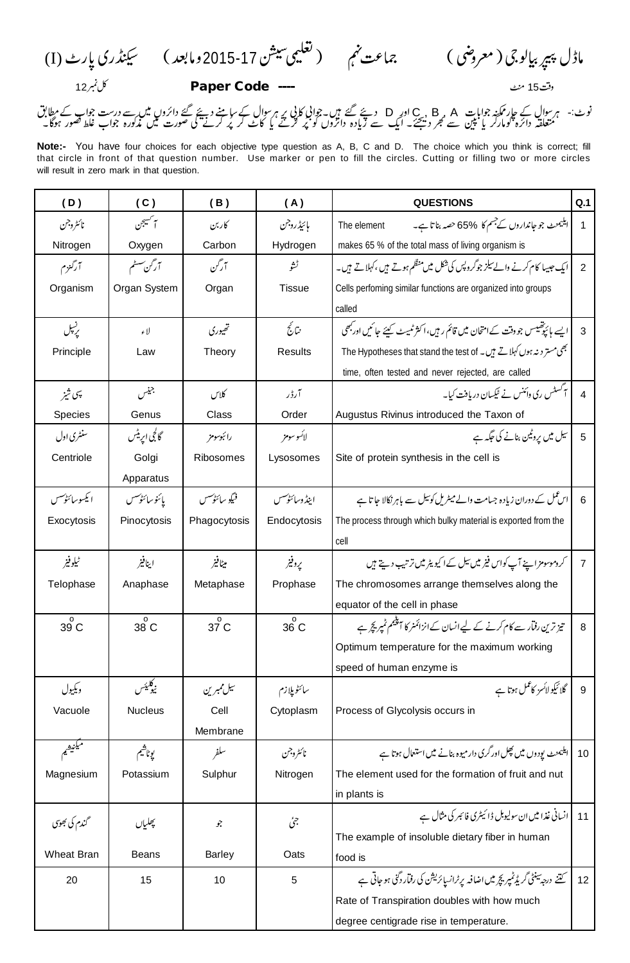(I) 2015-17

12 **Paper Code ----** 15

نوٹ:- ہر سوال کے جار مگنہ جوابات A , B , A اور D دیئے گئے ہیں۔جوابی کا پی ہر سوال کے سامنے دیئے گئے دائروں میں سے درست جواب کے مطابق<br>متعلقہ دائرہ کومارکر یا بین سے گجر دیجئے۔ ایک سے زیادہ دائروں کو پُر کرنے یا کاٹ ک

**Note:-** You have four choices for each objective type question as A, B, C and D. The choice which you think is correct; fill that circle in front of that question number. Use marker or pen to fill the circles. Cutting or filling two or more circles will result in zero mark in that question.

| (D)            | (C)              | (B)                | (A)            | <b>QUESTIONS</b>                                                             | Q.1             |
|----------------|------------------|--------------------|----------------|------------------------------------------------------------------------------|-----------------|
| نائثروجن       | سم <i>کسپج</i> ن | كاربن              | مائيڈروجن      | ایلیمنٹ جو جانداروں کے جسم کا 65% حصہ بنا تا ہے۔<br>The element              | 1               |
| Nitrogen       | Oxygen           | Carbon             | Hydrogen       | makes 65 % of the total mass of living organism is                           |                 |
| آرگنزم         | آرٹن سسٹم        | آركن               | ڻشو            | ایک جیسا کام کرنے والے سیلز جوگروپس کی شکل میں منظم ہوتے ہیں ،کہلاتے ہیں۔    | 2               |
| Organism       | Organ System     | Organ              | <b>Tissue</b>  | Cells perfoming similar functions are organized into groups                  |                 |
|                |                  |                    |                | called                                                                       |                 |
| ریسیل          | لاء              | تھیوری             | نتائج          | ایسے مائیوخییس جو دقت کےامتحان میں قائم رہیں،اکثر ٹمیٹ کیئے جائیں ادربھی     | 3               |
| Principle      | Law              | Theory             | <b>Results</b> | بھی مستر دینہ ہوں کہلاتے ہیں۔ The Hypotheses that stand the test of          |                 |
|                |                  |                    |                | time, often tested and never rejected, are called                            |                 |
| ىپى شىز        | جيس              | كلاس               | آرڈر           | ایکسٹس ری دائنس نے ٹیکسان دریافت کیا۔                                        | $\overline{4}$  |
| Species        | Genus            | Class              | Order          | Augustus Rivinus introduced the Taxon of                                     |                 |
| سنشرى اول      | گالجی ایریٹس     | رائبوسومز          | لائسو سومز     | سیل میں پروٹین بنانے کی جگہ ہے                                               | 5               |
| Centriole      | Golgi            | Ribosomes          | Lysosomes      | Site of protein synthesis in the cell is                                     |                 |
|                | Apparatus        |                    |                |                                                                              |                 |
| ايكسوسائنوكسس  | يائنو سائٹونسس   | فيكو سائٹوكسس      | اينڈ وسائٹونسس | اس عمل کے دوران زیادہ جسامت والے میٹریل کوئیل سے باہر نکالا جا تا ہے         | 6               |
| Exocytosis     | Pinocytosis      | Phagocytosis       | Endocytosis    | The process through which bulky material is exported from the                |                 |
|                |                  |                    |                | cell                                                                         |                 |
| ٹیلوفنر        | اينافير          | ميٹافير            | پروفیر         | کروموسومزاپنے آپ کواس فیزیٹیںسل کےا کیویٹر میں ترتیب دیتے ہیں                | 7               |
| Telophase      | Anaphase         | Metaphase          | Prophase       | The chromosomes arrange themselves along the                                 |                 |
|                |                  |                    |                | equator of the cell in phase                                                 |                 |
| $39^{\circ}$ C | $\circ$<br>38 C  | $37^{\circ}$ C     | $\circ$<br>36C | تیز ترین رفتار سے کام کرنے کے لیے انسان کے انزائمنر کا آپنجم ٹمپر پچر ہے     | 8               |
|                |                  |                    |                | Optimum temperature for the maximum working                                  |                 |
|                |                  |                    |                | speed of human enzyme is                                                     |                 |
| ويكيول         | يكليئس           | سیل ممبرین         | سائٹو پلازم    | گلائیکولائسز کاعمل ہوتا ہے                                                   | 9               |
| Vacuole        | <b>Nucleus</b>   | Cell               | Cytoplasm      | Process of Glycolysis occurs in                                              |                 |
|                |                  | Membrane           |                |                                                                              |                 |
| يكنيشم         | يوناشيم          | سلفر               | نائثروجن       | 10   ایلیمنٹ یودوں میں کچل اور گری دارمیوہ بنانے میں استعال ہوتا ہے          |                 |
| Magnesium      | Potassium        | Sulphur            | Nitrogen       | The element used for the formation of fruit and nut                          |                 |
|                |                  |                    |                | in plants is                                                                 |                 |
| گندم کی بھوی   | چھلیاں           | $\hat{\mathbf{y}}$ | جئ             | انسانی غذا میں ان سولیوبل ڈائیٹری فائبر کی مثال ہے                           | 11              |
|                |                  |                    |                | The example of insoluble dietary fiber in human                              |                 |
| Wheat Bran     | Beans            | <b>Barley</b>      | Oats           | food is                                                                      |                 |
| 20             | 15               | 10                 | 5              | کتنے درجہ سنٹی گریڈٹمپریچر میں اضافہ پرٹرانسا ئریشن کی رفیار دگنی ہو جاتی ہے | 12 <sup>°</sup> |
|                |                  |                    |                | Rate of Transpiration doubles with how much                                  |                 |
|                |                  |                    |                | degree centigrade rise in temperature.                                       |                 |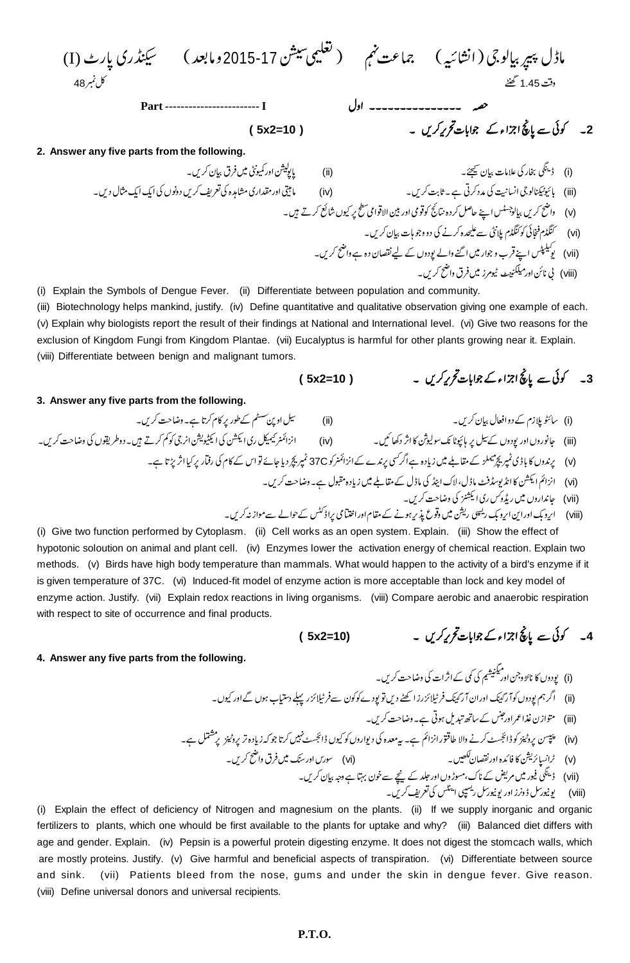| (I) $\frac{3}{2}$                            | 2015-17 | 34  | 48.72 | 54 |
|----------------------------------------------|---------|-----|-------|----|
| 48.72                                        | 64      | 745 |       |    |
| 45. $\frac{3}{2}$                            | 84.72   |     |       |    |
| 2. Answer any five parts from the following. |         |     |       |    |
| 2. Answer any five parts from the following. |         |     |       |    |
| 3. $\frac{1}{2}$                             | 34.72   |     |       |    |
| 4. $\frac{1}{2}$                             | 4.72    |     |       |    |
| 4. $\frac{1}{2}$                             | 54.72   |     |       |    |
| 4. $\frac{1}{2}$                             | 64.72   |     |       |    |
| 4. $\frac{1}{2}$                             | 74.72   |     |       |    |
| 5. $\frac{1}{2}$                             | 84.72   |     |       |    |
| 6. $\frac{1}{2}$                             | 94.72   |     |       |    |
| 7. Answer any five parts from the following. |         |     |       |    |
| (i)                                          | 1/2     |     |       |    |
| 8. $\frac{1}{2}$                             | 1/2     |     |       |    |
| 9. $\frac{1}{2}$                             | 1/2     |     |       |    |
| 1/2                                          | 1/2     |     |       |    |
| 2. Answer any five parts from the following. |         |     |       |    |
| 3. $\frac{1}{2}$                             | 1/2     |     |       |    |
| 4. $\frac{1}{2}$                             | 1/2     |     |       |    |
| 5. $\frac{1}{2}$                             | 1/2     |     |       |    |
| 6. $\frac{1}{2}$                             | 1/2     |     |       |    |
| 7. $\frac{1}{2}$                             | 1/2     |     |       |    |

(i) Explain the Symbols of Dengue Fever. (ii) Differentiate between population and community.

(iii) Biotechnology helps mankind, justify. (iv) Define quantitative and qualitative observation giving one example of each. (v) Explain why biologists report the result of their findings at National and International level. (vi) Give two reasons for the exclusion of Kingdom Fungi from Kingdom Plantae. (vii) Eucalyptus is harmful for other plants growing near it. Explain. (viii) Differentiate between benign and malignant tumors.

$$
(5x2=10)
$$

 **( 5x2=10 ) 3**

(۰۰۰۰) میڈیسٹ سے مسیب کر ب زرد کہ مسی کے رسمت پر برن کے علیہ<br>(viii) بی نائن اور میلکنپنٹ ٹیومرز میں فرق واضح کریں۔

## **3. Answer any five parts from the following.**

 (ii) (i) (iv) (iii) 37C (v)

(vi)

(vii)

 (vii) 

 (viii)

(i) Give two function performed by Cytoplasm. (ii) Cell works as an open system. Explain. (iii) Show the effect of hypotonic soloution on animal and plant cell. (iv) Enzymes lower the activation energy of chemical reaction. Explain two methods. (v) Birds have high body temperature than mammals. What would happen to the activity of a bird's enzyme if it is given temperature of 37C. (vi) Induced-fit model of enzyme action is more acceptable than lock and key model of enzyme action. Justify. (vii) Explain redox reactions in living organisms. (viii) Compare aerobic and anaerobic respiration with respect to site of occurrence and final products.

$$
(5x2=10)
$$

## 4۔ کوئی سے پانچ اجزاء کے جوابات تحریر کریں ۔

**4. Answer any five parts from the following.** 

 (i) (ii) (iii) (iv)

(vi) (v)

 (vii) 

 (viii)

(i) Explain the effect of deficiency of Nitrogen and magnesium on the plants. (ii) If we supply inorganic and organic fertilizers to plants, which one whould be first available to the plants for uptake and why? (iii) Balanced diet differs with age and gender. Explain. (iv) Pepsin is a powerful protein digesting enzyme. It does not digest the stomcach walls, which are mostly proteins. Justify. (v) Give harmful and beneficial aspects of transpiration. (vi) Differentiate between source and sink. (vii) Patients bleed from the nose, gums and under the skin in dengue fever. Give reason. (viii) Define universal donors and universal recipients.